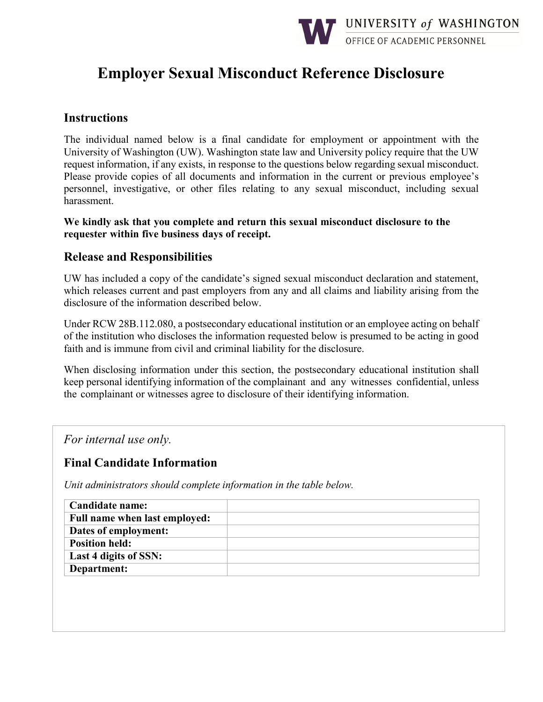

# **Employer Sexual Misconduct Reference Disclosure**

### **Instructions**

The individual named below is a final candidate for employment or appointment with the University of Washington (UW). Washington state law and University policy require that the UW request information, if any exists, in response to the questions below regarding sexual misconduct. Please provide copies of all documents and information in the current or previous employee's personnel, investigative, or other files relating to any sexual misconduct, including sexual harassment.

**We kindly ask that you complete and return this sexual misconduct disclosure to the requester within five business days of receipt.** 

### **Release and Responsibilities**

UW has included a copy of the candidate's signed sexual misconduct declaration and statement, which releases current and past employers from any and all claims and liability arising from the disclosure of the information described below.

Under RCW 28B.112.080, a postsecondary educational institution or an employee acting on behalf of the institution who discloses the information requested below is presumed to be acting in good faith and is immune from civil and criminal liability for the disclosure.

When disclosing information under this section, the postsecondary educational institution shall keep personal identifying information of the complainant and any witnesses confidential, unless the complainant or witnesses agree to disclosure of their identifying information.

*For internal use only.*

### **Final Candidate Information**

*Unit administrators should complete information in the table below.* 

| <b>Candidate name:</b>        |  |
|-------------------------------|--|
| Full name when last employed: |  |
| Dates of employment:          |  |
| <b>Position held:</b>         |  |
| Last 4 digits of SSN:         |  |
| Department:                   |  |